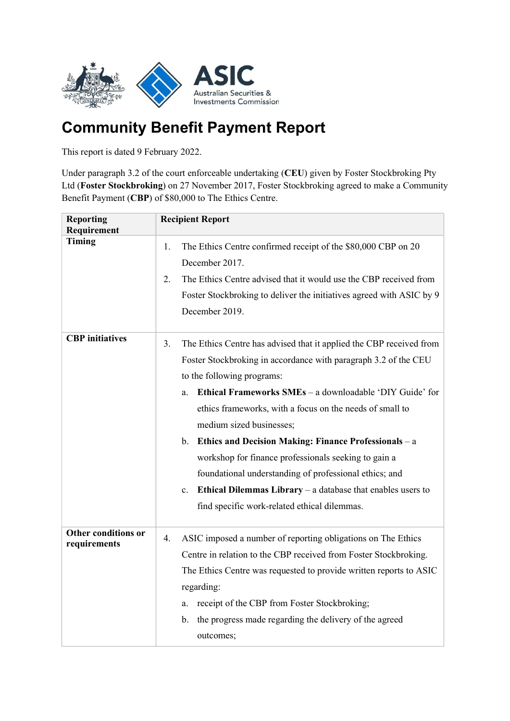

## Community Benefit Payment Report

This report is dated 9 February 2022.

Under paragraph 3.2 of the court enforceable undertaking (CEU) given by Foster Stockbroking Pty Ltd (Foster Stockbroking) on 27 November 2017, Foster Stockbroking agreed to make a Community Benefit Payment (CBP) of \$80,000 to The Ethics Centre.

| <b>Reporting</b><br>Requirement     | <b>Recipient Report</b>                                                                                                                         |
|-------------------------------------|-------------------------------------------------------------------------------------------------------------------------------------------------|
| <b>Timing</b>                       | The Ethics Centre confirmed receipt of the \$80,000 CBP on 20<br>1.<br>December 2017.                                                           |
|                                     | The Ethics Centre advised that it would use the CBP received from<br>2.<br>Foster Stockbroking to deliver the initiatives agreed with ASIC by 9 |
|                                     | December 2019.                                                                                                                                  |
| <b>CBP</b> initiatives              | 3.<br>The Ethics Centre has advised that it applied the CBP received from                                                                       |
|                                     | Foster Stockbroking in accordance with paragraph 3.2 of the CEU                                                                                 |
|                                     | to the following programs:                                                                                                                      |
|                                     | Ethical Frameworks SMEs - a downloadable 'DIY Guide' for<br>a.                                                                                  |
|                                     | ethics frameworks, with a focus on the needs of small to                                                                                        |
|                                     | medium sized businesses;                                                                                                                        |
|                                     | Ethics and Decision Making: Finance Professionals - a<br>b.                                                                                     |
|                                     | workshop for finance professionals seeking to gain a                                                                                            |
|                                     | foundational understanding of professional ethics; and                                                                                          |
|                                     | Ethical Dilemmas Library $-$ a database that enables users to<br>$\mathbf{c}$ .                                                                 |
|                                     | find specific work-related ethical dilemmas.                                                                                                    |
| Other conditions or<br>requirements | ASIC imposed a number of reporting obligations on The Ethics<br>4.                                                                              |
|                                     | Centre in relation to the CBP received from Foster Stockbroking.                                                                                |
|                                     | The Ethics Centre was requested to provide written reports to ASIC                                                                              |
|                                     | regarding:                                                                                                                                      |
|                                     | receipt of the CBP from Foster Stockbroking;<br>a.                                                                                              |
|                                     | the progress made regarding the delivery of the agreed<br>b.                                                                                    |
|                                     | outcomes;                                                                                                                                       |